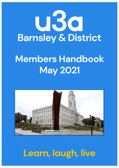

# **Members Handbook May 2021**



# **Learn, laugh, live**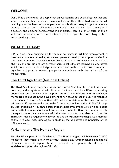# **WELCOME**

Our U3A is a community of people that enjoys learning and socialising together and who, by keeping their bodies and minds active, live life in their third age to the full. Learning is at the heart of our organisation  $-$  it is about doing things that you are interested in, not for qualifications or material rewards but for the sheer joy of discovery and personal achievement. In our groups there is a lot of laughter and a welcome for everyone with an understanding that everyone has something to share and something to learn.

### **WHAT IS THE U3A?**

U3A is a self-help organisation for people no longer in full time employment. It provides educational, creative, leisure and personal development opportunities in a friendly environment. It consists of local U3As all over the UK which are independent charities and are run entirely by volunteers. Local U3As are learning co-operatives which draw upon the knowledge, experience and skills of their own members to organise and provide interest groups in accordance with the wishes of the membership.

# **The Third Age Trust (National Office)**

The Third Age Trust is a representative body for U3As in the UK. It is both a limited company and a registered charity. It underpins the work of local U3As by providing educational and administrative support to their committees and to individual **members** and assists in the development of new U3As across the UK. It is managed by a National Executive Committee (NEC) which consists of a Chairman, **two** other officers and 12 representatives from the Government regions in the UK. The Third Age Trust is funded mainly by annual subscriptions paid by member U3As on a per capita basis, with the occasional grant for specific projects. U3As are independently managed charitable associations with their own constitutions. Membership of the Third Age Trust is a requirement in order to use the U3A name and logo. As a member of the Third Age Trust, U3As agree to abide by the objectives and principles of the U3A movement.

#### **Yorkshire and The Humber Region**

Barnsley U3A is part of the Yorkshire and The Humber region which has over 22,000 members. They organise network events, training days, summer schools and special showcase events. A Regional Trustee represents the region on the NEC and is available to support the region's 52 U3As.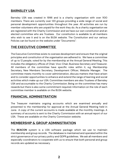# **BARNSLEY U3A**

Barnsley U3A was created in 1996 and is a charity organisation with over 1100 members. There are currently over 120 groups providing a wide range of social and personal development opportunities throughout the year. All activities are run by member volunteers who are unpaid for the work they do. As a charity organisation we are registered with the Charity Commission and we have our own constitution and an elected committee who are Trustees. Our constitution is available to all members who wish to see it and is on the BU3A website. The Constitution and our various Policies can be found on the website under "Documents":

### **THE EXECUTIVE COMMITTEE**

The Executive Committee exists to oversee development and ensure that the original principles and constitution of the organisation are adhered to. We have a committee of up to 12 people, voted for by the membership at the Annual General Meeting. This includes the obligatory offices of Chair, Vice-Chair, Business Secretary and Treasurer. All members of the committee have specific roles within it, e.g. Membership Secretary, New Members Secretary, Development Officer, Website Manager. The committee meets monthly to cover administration, discuss matters that have arisen and to consider opportunities to enhance and extend the range of learning and social activities which make up our U3A. Committee members are also Trustees of Barnsley U3A and accountable to the Charity Commission. Being on the committee has many rewards but there is also some commitment required. Information on the role of each committee member is available on the BU3A website.

# **FINANCIAL ADMINISTRATION**

The Treasurer maintains ongoing accounts which are examined annually and presented to the membership for approval at the Annual General Meeting held in June. A copy of the current accounts is made available at the monthly meetings. A summary of accounts is sent to the Charity Commission with an annual report of our U3A. These are available on the Charity Commission website.

### **MEMBERSHIP & GROUP ADMINISTRATION**

The **BEACON** system is a U3A software package which we use to maintain membership and group records. The database is maintained and operated within the strict governance of our privacy policy and GDPR guidelines. We ask all members and especially coordinators to cooperate with us to ensure that both personal and group records are updated as necessary.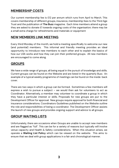### **MEMBERSHIP COSTS**

Our current membership fee is £12 per annum which runs from April to March. This covers membership of different groups, insurance, membership fees to the Third Age Trust and the publication of **The Buzz** magazine. Each time members attend a group they are asked to donate £1 towards ongoing costs of the organisation; there may be a small extra charge for refreshments and materials or equipment

#### **NEW MEMBERS LINK MEETING**

Every third Monday of the month, we hold a meeting specifically to welcome our new (and potential) members. This informal and friendly meeting provides an ideal opportunity to introduce new members to each other and to explain the basics of how our U3A works and how they can join their preferred groups. All new members are encouraged to come along.

### **GROUPS**

We have a wide range of groups, all being equal in the pursuit of knowledge and skills. Current groups can be found on the Website and are listed in the quarterly Buzz. An example of a typical weekly programme of meetings can be found on the inside back cover.

There are two ways in which a group can be formed. Sometimes a few members will express a wish to pursue a subject – we would then ask for volunteers to act as Coordinator. Alternatively, a member may volunteer to coordinate a group in which they have a particular interest or skills. Proposals for new groups are put to the Development Officer for approval. New groups require approval for both financial and insurance considerations. Coordinators Guidelines published on the Website outline the role and responsibilities of being a coordinator. The Development Officer assists the launch of new groups and provides ongoing support and advice to all groups.

### **GROUP WAITING LISTS**

Unfortunately, there are occasions when Groups are unable to accept new members and are flagged as "full". This can be for a variety of reasons but typically will involve venue capacity and Health & Safety considerations. When this situation arises, we operate a **Waiting List Policy** which can be viewed on the website. This aims to ensure that we deal with group applications in a fair and chronological manner.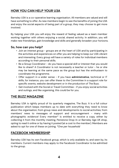# **HOW YOU CAN HELP YOUR U3A**

Barnsley U3A is a co-operative learning organisation. All members are valued and will have something to offer. As new members begin to see the benefits of joining the U3A and enjoy the social aspects of being part of a group, they may choose to get more involved.

By helping your U3A you will enjoy the reward of feeling valued as a team member working together with others enjoying a social, shared activity. In addition, you will make new friendships, gain knowledge and skills and generally broaden your horizons.

#### **So, how can you help?**

- Join an interest group groups are at the heart of U3A and by participating in the activities and experiences on offer you are helping to keep our U3A vibrant and interesting. Every group will have a variety of roles for individual members according to their personal skills.
- Be a Group Coordinator do you have a special skill or interest that you would like to share? A Coordinator is not necessarily a teacher or tutor - he or she may be learning at the same pace as the group but has the enthusiasm to coordinate the programme.
- Offer support in a wider sense if you have **administrative**, technical or IT skills, for instance, you can offer these to the Committee in a support role for specific events, website development or in the production of The Buzz.
- Get involved with the Social or Travel Committee if you enjoy social activities and outings, and like organising, this could be for you.

### **THE BUZZ MAGAZINE**

Barnsley U3A is rightly proud of its quarterly magazine, The Buzz. It is a full colour publication which keeps members up to date with everything they need to know about the organisation, from group news and developments to social activities; from members' news to messages of support and encouragement - many with photographic evidence! Every member\* is entitled to receive a copy, either by collecting it from the monthly meeting, Penistone Drop-In or Barnsley Age UK shop, opting to read it online or by having it posted (at a cost to the member). Members are asked to opt for one of these on joining. *\*One per household*

### **FACEBOOK MEMBERSHIP**

Barnsley U3A has its own Facebook group, which is only available to, and seen by, its members. Current members may apply to the Facebook Coordinator to be admitted to the group.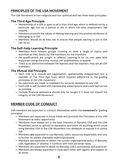# **PRINCIPLES OF THE U3A MOVEMENT**

The U3A Movement is non-religious and non-political and has three main principles:

#### **The Third Age Principle**

- **•** Membership of a U3A is open to all in their third age, which is defined not by a particular age but by a period of life in which full-time employment has ceased.
- **•** Members promote the values of lifelong learning and the positive attributes of belonging to a U3A
- **•** Members should do all they can to ensure that people wanting to join a U3A can do so.

#### **The Self-help Learning Principle**

- **•** Members form interest groups covering as wide a range of topics and activities as they desire; by the members, for the members
- **•** No qualifications are sought or offered. Learning is for its own sake, with enjoyment being the prime motive, not qualifications or awards
- **•** There is no distinction between the learners and the teachers; they are all U3A members

#### **The Mutual Aid Principle**

- **•** Each U3A is a mutual aid organisation, operationally independent but a member of The Third Age Trust, which requires adherence to the guiding principles of the U3A movement
- **•** No payments are made to members for services rendered to any U3A
- **•** Each U3A is self-funded with membership subscriptions and costs kept as low as possible
- **•** Outside financial assistance should only be sought if it does not imperil the integrity of the U3A Movement

# **MEMBER CODE OF CONDUCT**

U3A members are expected to conduct themselves within the **movement's** "guiding principles".

- **•** Members are expected to know, follow and promote the Principles of the U3A Movement at every opportunity.
- **•** Members must always act in the best interests of Barnsley U3A and the U3A Movement, strive to uphold its reputation and never do anything which could bring Barnsley U3A or the U3A Movement into disrepute or expose it to undue risk.
- **•** Members **are** expected to use Barnsley U3A's resources responsibly and only to further its stated charitable objects/purposes.
- **•** Members are expected to reflect the current organisational policy of Barnsley U3A, regardless of whether it conflicts with their personal views.
- **•** Members are expected to abide by Barnsley U3A's procedures and practices
- **•** Members are always expected to treat each other with dignity and respect at all times.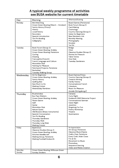#### **A typical weekly programme of activities see BU3A website for current timetable**

| Day                | Morning                                                                                                                                                                                                                                                                                                                                | Afternoon/Evening                                                                                                                                                                                                        |
|--------------------|----------------------------------------------------------------------------------------------------------------------------------------------------------------------------------------------------------------------------------------------------------------------------------------------------------------------------------------|--------------------------------------------------------------------------------------------------------------------------------------------------------------------------------------------------------------------------|
| Monday             | <b>Bird Watching</b><br>Crown Green Bowling (March - October)<br>Family History (Priory)<br>History<br>Local History<br>Recorders<br>Spanish Introduction                                                                                                                                                                              | Board Games (Penistone)<br>Book Forum (Group 1)<br>Card Making<br>Cosmology<br>Country Dancing (Group 1)<br>Italian for Beginners<br>New Members Link                                                                    |
|                    | Ten Pin Bowling<br>Calligraphy                                                                                                                                                                                                                                                                                                         | Monthly Meeting<br>Photography<br>Snooker<br>Tai Chi                                                                                                                                                                     |
| Tuesday            | Book Forum (Group 2)<br>Crown Green Bowling, Ardsley<br>Crown Green Bowling, Penistone<br>Cycling<br>Drawing<br>Francophile (French)<br>French Language and Culture<br>Motorbike Club<br>Painting for Pleasure<br>Patchwork Projects, Penistone<br>Racketball<br>Tuesday Walking Group                                                 | <b>Bridge</b><br>Choir<br>Classical Studies (Group 2)<br><b>Stories for Pleasure</b><br><b>Table Tennis</b><br>One Club<br><b>Tuesday Gardeners</b>                                                                      |
| Wednesday          | Art for Beginners<br>Crown Green Bowling, Ardsley<br><b>Family History</b><br><b>Quilting Bee</b><br>Sew Much to Do<br><b>Walking Cricket</b><br>Wednesday Ramblers                                                                                                                                                                    | <b>Board Games/Chess</b><br>Country Dancing (Group 2)<br><b>Creative Writing</b><br>Family History<br>Conversational French<br>Literature<br>Music for Pleasure<br>Ukulele (Stringalongs)                                |
| Thursday           | <b>Brushstrokes</b><br><b>Bus Pass Walkers</b><br>Crown Green Bowling, Ardsley<br><b>Flutes Galore</b><br>Golf<br>Guitar<br>Motorbike Club<br>Nature Quest<br>Old Blowers (Brass Instruments)<br>Spanish Conversation<br>Ten Pin Bowling<br><b>Thursday Gardeners</b><br>Thursday Walk<br>Thursday Long Walk<br><b>Walking Cricket</b> | Canasta<br>Curry Night<br>Dodworth WW1 Memorial Project<br><b>Conversational German</b><br>Italian Night<br>Jewellery<br>Singalong For Fun<br>Poetry Workshop<br>Theatre<br>Quizmasters                                  |
| Friday<br>Saturday | Badminton<br>Classical Studies (Group 1)<br>Crown Green Bowling, Ardsley<br><b>Stitches Needlecraft</b><br>Walking Group, Penistone<br>Walking Football Dodworth<br>Crown Green Bowling, Millhouse Green                                                                                                                               | Art Appreciation<br>Art Group, Penistone<br>Classical Music/Opera<br>Crafty Chat, Penistone<br>Every Craft, Alder Close<br>Flix at Six<br>Movement to Music<br>Photoshop<br>Sequence Dancing<br>Video and Media Creation |
| Sunday             | Sunday Strollers                                                                                                                                                                                                                                                                                                                       |                                                                                                                                                                                                                          |